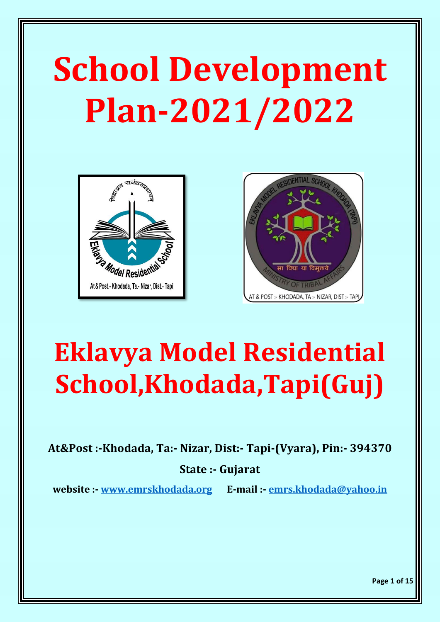# **School Development Plan-2021/2022**





## **Eklavya Model Residential School,Khodada,Tapi(Guj)**

**At&Post :-Khodada, Ta:- Nizar, Dist:- Tapi-(Vyara), Pin:- 394370**

#### **State :- Gujarat**

**website :- [www.emrskhodada.org](http://www.emrskhodada.org/) E-mail :- [emrs.khodada@yahoo.in](mailto:emrs.khodada@yahoo.in)**

**Page 1 of 15**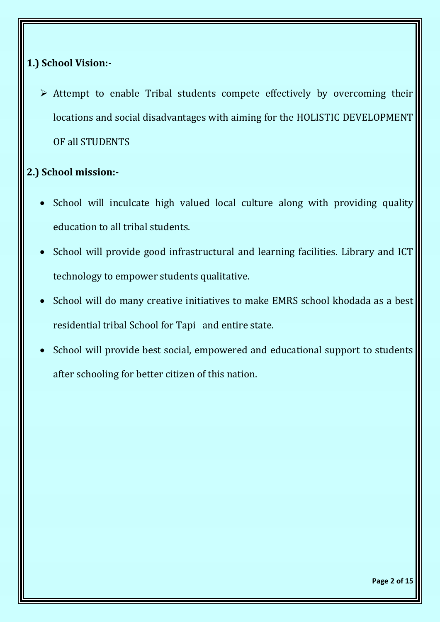#### **1.) School Vision:-**

➢ Attempt to enable Tribal students compete effectively by overcoming their locations and social disadvantages with aiming for the HOLISTIC DEVELOPMENT OF all STUDENTS

#### **2.) School mission:-**

- School will inculcate high valued local culture along with providing quality education to all tribal students.
- School will provide good infrastructural and learning facilities. Library and ICT technology to empower students qualitative.
- School will do many creative initiatives to make EMRS school khodada as a best residential tribal School for Tapi and entire state.
- School will provide best social, empowered and educational support to students after schooling for better citizen of this nation.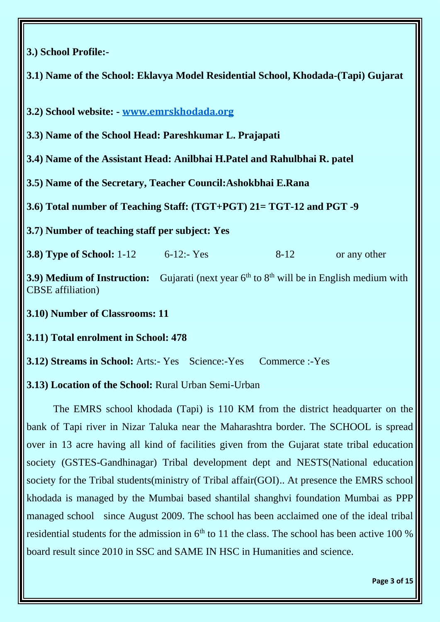#### **3.) School Profile:-**

**3.1) Name of the School: Eklavya Model Residential School, Khodada-(Tapi) Gujarat**

**3.2) School website: - [www.emrskhodada.org](http://www.emrskhodada.org/)**

**3.3) Name of the School Head: Pareshkumar L. Prajapati**

**3.4) Name of the Assistant Head: Anilbhai H.Patel and Rahulbhai R. patel**

**3.5) Name of the Secretary, Teacher Council:Ashokbhai E.Rana**

**3.6) Total number of Teaching Staff: (TGT+PGT) 21= TGT-12 and PGT -9**

**3.7) Number of teaching staff per subject: Yes** 

**3.8) Type of School:** 1-12 6-12:- Yes 8-12 or any other

**3.9) Medium of Instruction:** Gujarati (next year 6<sup>th</sup> to 8<sup>th</sup> will be in English medium with CBSE affiliation)

**3.10) Number of Classrooms: 11**

**3.11) Total enrolment in School: 478** 

**3.12) Streams in School:** Arts:- Yes Science:-Yes Commerce :-Yes

**3.13) Location of the School:** Rural Urban Semi-Urban

The EMRS school khodada (Tapi) is 110 KM from the district headquarter on the bank of Tapi river in Nizar Taluka near the Maharashtra border. The SCHOOL is spread over in 13 acre having all kind of facilities given from the Gujarat state tribal education society (GSTES-Gandhinagar) Tribal development dept and NESTS(National education society for the Tribal students(ministry of Tribal affair(GOI).. At presence the EMRS school khodada is managed by the Mumbai based shantilal shanghvi foundation Mumbai as PPP managed school since August 2009. The school has been acclaimed one of the ideal tribal residential students for the admission in  $6<sup>th</sup>$  to 11 the class. The school has been active 100 % board result since 2010 in SSC and SAME IN HSC in Humanities and science.

**Page 3 of 15**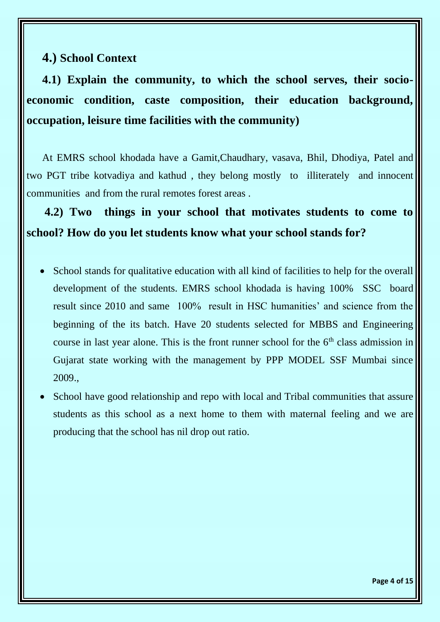#### **4.) School Context**

**4.1) Explain the community, to which the school serves, their socioeconomic condition, caste composition, their education background, occupation, leisure time facilities with the community)** 

At EMRS school khodada have a Gamit,Chaudhary, vasava, Bhil, Dhodiya, Patel and two PGT tribe kotvadiya and kathud , they belong mostly to illiterately and innocent communities and from the rural remotes forest areas .

 **4.2) Two things in your school that motivates students to come to school? How do you let students know what your school stands for?**

- School stands for qualitative education with all kind of facilities to help for the overall development of the students. EMRS school khodada is having 100% SSC board result since 2010 and same 100% result in HSC humanities' and science from the beginning of the its batch. Have 20 students selected for MBBS and Engineering course in last year alone. This is the front runner school for the  $6<sup>th</sup>$  class admission in Gujarat state working with the management by PPP MODEL SSF Mumbai since 2009.,
- School have good relationship and repo with local and Tribal communities that assure students as this school as a next home to them with maternal feeling and we are producing that the school has nil drop out ratio.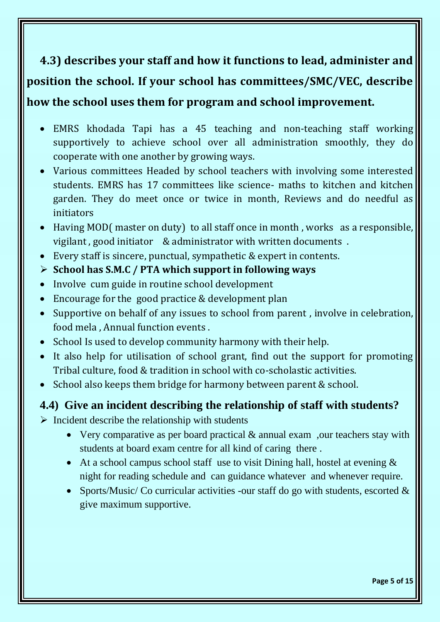## **4.3) describes your staff and how it functions to lead, administer and position the school. If your school has committees/SMC/VEC, describe how the school uses them for program and school improvement.**

### • EMRS khodada Tapi has a 45 teaching and non-teaching staff working supportively to achieve school over all administration smoothly, they do

- cooperate with one another by growing ways. • Various committees Headed by school teachers with involving some interested students. EMRS has 17 committees like science- maths to kitchen and kitchen garden. They do meet once or twice in month, Reviews and do needful as
- initiators • Having MOD(master on duty) to all staff once in month, works as a responsible,
- vigilant , good initiator & administrator with written documents .
- Every staff is sincere, punctual, sympathetic & expert in contents.

#### ➢ **School has S.M.C / PTA which support in following ways**

- Involve cum guide in routine school development
- Encourage for the good practice & development plan
- Supportive on behalf of any issues to school from parent , involve in celebration, food mela , Annual function events .
- School Is used to develop community harmony with their help.
- It also help for utilisation of school grant, find out the support for promoting Tribal culture, food & tradition in school with co-scholastic activities.
- School also keeps them bridge for harmony between parent & school.

#### **4.4) Give an incident describing the relationship of staff with students?**

- $\triangleright$  Incident describe the relationship with students
	- Very comparative as per board practical & annual exam , our teachers stay with students at board exam centre for all kind of caring there .
	- At a school campus school staff use to visit Dining hall, hostel at evening  $\&$ night for reading schedule and can guidance whatever and whenever require.
	- Sports/Music/ Co curricular activities -our staff do go with students, escorted  $\&$ give maximum supportive.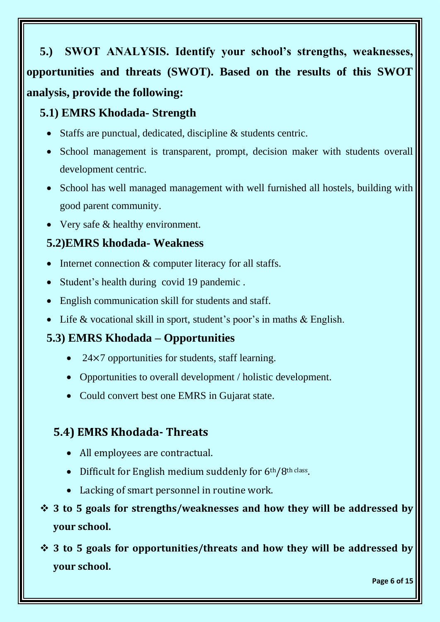**5.) SWOT ANALYSIS. Identify your school's strengths, weaknesses, opportunities and threats (SWOT). Based on the results of this SWOT analysis, provide the following:** 

#### **5.1) EMRS Khodada- Strength**

- Staffs are punctual, dedicated, discipline & students centric.
- School management is transparent, prompt, decision maker with students overall development centric.
- School has well managed management with well furnished all hostels, building with good parent community.
- Very safe & healthy environment.

#### **5.2)EMRS khodada- Weakness**

- Internet connection & computer literacy for all staffs.
- Student's health during covid 19 pandemic .
- English communication skill for students and staff.
- Life & vocational skill in sport, student's poor's in maths & English.

#### **5.3) EMRS Khodada – Opportunities**

- $24\times7$  opportunities for students, staff learning.
- Opportunities to overall development / holistic development.
- Could convert best one EMRS in Gujarat state.

#### **5.4) EMRS Khodada- Threats**

- All employees are contractual.
- Difficult for English medium suddenly for 6th/8th class.
- Lacking of smart personnel in routine work.
- ❖ **3 to 5 goals for strengths/weaknesses and how they will be addressed by your school.**

❖ **3 to 5 goals for opportunities/threats and how they will be addressed by your school.** 

**Page 6 of 15**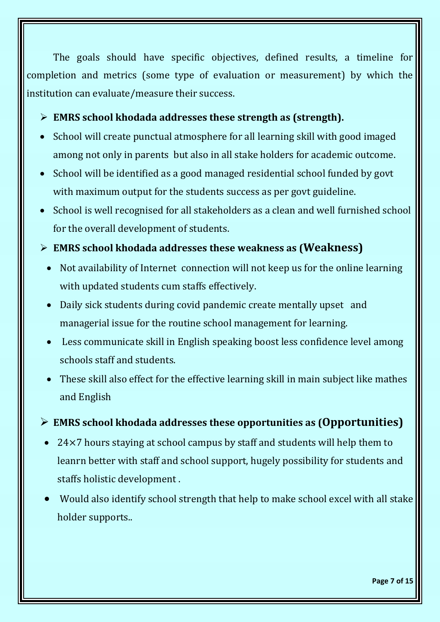The goals should have specific objectives, defined results, a timeline for completion and metrics (some type of evaluation or measurement) by which the institution can evaluate/measure their success.

#### ➢ **EMRS school khodada addresses these strength as (strength).**

- School will create punctual atmosphere for all learning skill with good imaged among not only in parents but also in all stake holders for academic outcome.
- School will be identified as a good managed residential school funded by govt with maximum output for the students success as per govt guideline.
- School is well recognised for all stakeholders as a clean and well furnished school for the overall development of students.
- ➢ **EMRS school khodada addresses these weakness as (Weakness)**
	- Not availability of Internet connection will not keep us for the online learning with updated students cum staffs effectively.
	- Daily sick students during covid pandemic create mentally upset and managerial issue for the routine school management for learning.
	- Less communicate skill in English speaking boost less confidence level among schools staff and students.
	- These skill also effect for the effective learning skill in main subject like mathes and English

#### ➢ **EMRS school khodada addresses these opportunities as (Opportunities)**

- 24×7 hours staying at school campus by staff and students will help them to leanrn better with staff and school support, hugely possibility for students and staffs holistic development .
- Would also identify school strength that help to make school excel with all stake holder supports..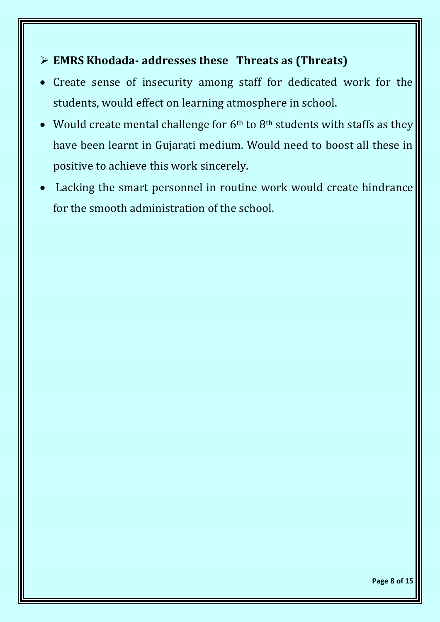#### ➢ **EMRS Khodada- addresses these Threats as (Threats)**

- Create sense of insecurity among staff for dedicated work for the students, would effect on learning atmosphere in school.
- Would create mental challenge for  $6<sup>th</sup>$  to  $8<sup>th</sup>$  students with staffs as they have been learnt in Gujarati medium. Would need to boost all these in positive to achieve this work sincerely.
- Lacking the smart personnel in routine work would create hindrance for the smooth administration of the school.

**Page 8 of 15**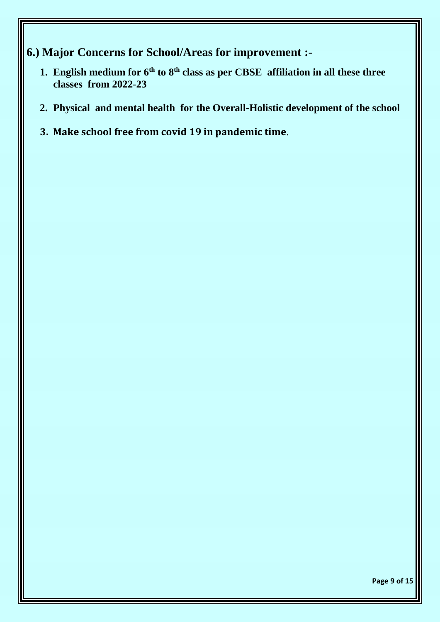- **6.) Major Concerns for School/Areas for improvement :-**
	- **1. English medium for 6th to 8th class as per CBSE affiliation in all these three classes from 2022-23**
	- **2. Physical and mental health for the Overall-Holistic development of the school**
	- **3. Make school free from covid 19 in pandemic time**.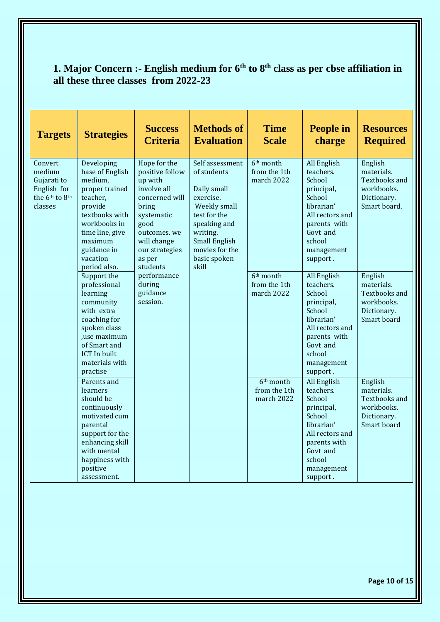#### **1. Major Concern :- English medium for 6th to 8th class as per cbse affiliation in all these three classes from 2022-23**

| <b>Targets</b>                                                                                       | <b>Strategies</b>                                                                                                                                                                            | <b>Success</b><br><b>Criteria</b>                                                                                                                                                                                                  | <b>Methods of</b><br><b>Evaluation</b>                                                                                                                                                    | <b>Time</b><br><b>Scale</b>                         | <b>People in</b><br>charge                                                                                                                                  | <b>Resources</b><br><b>Required</b>                                                       |
|------------------------------------------------------------------------------------------------------|----------------------------------------------------------------------------------------------------------------------------------------------------------------------------------------------|------------------------------------------------------------------------------------------------------------------------------------------------------------------------------------------------------------------------------------|-------------------------------------------------------------------------------------------------------------------------------------------------------------------------------------------|-----------------------------------------------------|-------------------------------------------------------------------------------------------------------------------------------------------------------------|-------------------------------------------------------------------------------------------|
| Convert<br>medium<br>Gujarati to<br>English for<br>the 6 <sup>th</sup> to 8 <sup>th</sup><br>classes | Developing<br>base of English<br>medium,<br>proper trained<br>teacher,<br>provide<br>textbooks with<br>workbooks in<br>time line, give<br>maximum<br>guidance in<br>vacation<br>period also. | Hope for the<br>positive follow<br>up with<br>involve all<br>concerned will<br>bring<br>systematic<br>good<br>outcomes. we<br>will change<br>our strategies<br>as per<br>students<br>performance<br>during<br>guidance<br>session. | Self assessment<br>of students<br>Daily small<br>exercise.<br>Weekly small<br>test for the<br>speaking and<br>writing.<br><b>Small English</b><br>movies for the<br>basic spoken<br>skill | 6 <sup>th</sup> month<br>from the 1th<br>march 2022 | All English<br>teachers.<br>School<br>principal,<br>School<br>librarian'<br>All rectors and<br>parents with<br>Govt and<br>school<br>management<br>support. | English<br>materials.<br>Textbooks and<br>workbooks.<br>Dictionary.<br>Smart board.       |
|                                                                                                      | Support the<br>professional<br>learning<br>community<br>with extra<br>coaching for<br>spoken class<br>,use maximum<br>of Smart and<br><b>ICT</b> In built<br>materials with<br>practise      |                                                                                                                                                                                                                                    |                                                                                                                                                                                           | 6 <sup>th</sup> month<br>from the 1th<br>march 2022 | All English<br>teachers.<br>School<br>principal,<br>School<br>librarian'<br>All rectors and<br>parents with<br>Govt and<br>school<br>management<br>support. | English<br>materials.<br><b>Textbooks and</b><br>workbooks.<br>Dictionary.<br>Smart board |
|                                                                                                      | Parents and<br>learners<br>should be<br>continuously<br>motivated cum<br>parental<br>support for the<br>enhancing skill<br>with mental<br>happiness with<br>positive<br>assessment.          |                                                                                                                                                                                                                                    |                                                                                                                                                                                           | 6 <sup>th</sup> month<br>from the 1th<br>march 2022 | All English<br>teachers.<br>School<br>principal,<br>School<br>librarian'<br>All rectors and<br>parents with<br>Govt and<br>school<br>management<br>support. | English<br>materials.<br><b>Textbooks</b> and<br>workbooks.<br>Dictionary.<br>Smart board |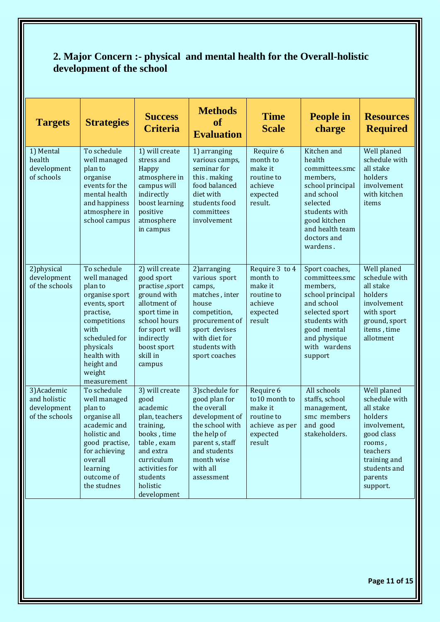#### **2. Major Concern :- physical and mental health for the Overall-holistic development of the school**

| <b>Targets</b>                                               | <b>Strategies</b>                                                                                                                                                                                  | <b>Success</b><br><b>Criteria</b>                                                                                                                                                    | <b>Methods</b><br><b>of</b><br><b>Evaluation</b>                                                                                                                               | <b>Time</b><br><b>Scale</b>                                                                 | <b>People in</b><br>charge                                                                                                                                                       | <b>Resources</b><br><b>Required</b>                                                                                                                             |
|--------------------------------------------------------------|----------------------------------------------------------------------------------------------------------------------------------------------------------------------------------------------------|--------------------------------------------------------------------------------------------------------------------------------------------------------------------------------------|--------------------------------------------------------------------------------------------------------------------------------------------------------------------------------|---------------------------------------------------------------------------------------------|----------------------------------------------------------------------------------------------------------------------------------------------------------------------------------|-----------------------------------------------------------------------------------------------------------------------------------------------------------------|
| 1) Mental<br>health<br>development<br>of schools             | To schedule<br>well managed<br>plan to<br>organise<br>events for the<br>mental health<br>and happiness<br>atmosphere in<br>school campus                                                           | 1) will create<br>stress and<br>Happy<br>atmosphere in<br>campus will<br>indirectly<br>boost learning<br>positive<br>atmosphere<br>in campus                                         | 1) arranging<br>various camps,<br>seminar for<br>this . making<br>food balanced<br>diet with<br>students food<br>committees<br>involvement                                     | Require 6<br>month to<br>make it<br>routine to<br>achieve<br>expected<br>result.            | Kitchen and<br>health<br>committees.smc<br>members,<br>school principal<br>and school<br>selected<br>students with<br>good kitchen<br>and health team<br>doctors and<br>wardens. | Well planed<br>schedule with<br>all stake<br>holders<br>involvement<br>with kitchen<br>items                                                                    |
| 2) physical<br>development<br>of the schools                 | To schedule<br>well managed<br>plan to<br>organise sport<br>events, sport<br>practise,<br>competitions<br>with<br>scheduled for<br>physicals<br>health with<br>height and<br>weight<br>measurement | 2) will create<br>good sport<br>practise, sport<br>ground with<br>allotment of<br>sport time in<br>school hours<br>for sport will<br>indirectly<br>boost sport<br>skill in<br>campus | 2) arranging<br>various sport<br>camps,<br>matches, inter<br>house<br>competition,<br>procurement of<br>sport devises<br>with diet for<br>students with<br>sport coaches       | Require 3 to 4<br>month to<br>make it<br>routine to<br>achieve<br>expected<br>result        | Sport coaches,<br>committees.smc<br>members,<br>school principal<br>and school<br>selected sport<br>students with<br>good mental<br>and physique<br>with wardens<br>support      | Well planed<br>schedule with<br>all stake<br>holders<br>involvement<br>with sport<br>ground, sport<br>items, time<br>allotment                                  |
| 3) Academic<br>and holistic<br>development<br>of the schools | To schedule<br>well managed<br>plan to<br>organise all<br>academic and<br>holistic and<br>good practise,<br>for achieving<br>overall<br>learning<br>outcome of<br>the studnes                      | 3) will create<br>good<br>academic<br>plan, teachers<br>training,<br>books, time<br>table, exam<br>and extra<br>curriculum<br>activities for<br>students<br>holistic<br>development  | 3) schedule for<br>good plan for<br>the overall<br>development of<br>the school with<br>the help of<br>parent s, staff<br>and students<br>month wise<br>with all<br>assessment | Require 6<br>to10 month to<br>make it<br>routine to<br>achieve as per<br>expected<br>result | All schools<br>staffs, school<br>management,<br>smc members<br>and good<br>stakeholders.                                                                                         | Well planed<br>schedule with<br>all stake<br>holders<br>involvement,<br>good class<br>rooms,<br>teachers<br>training and<br>students and<br>parents<br>support. |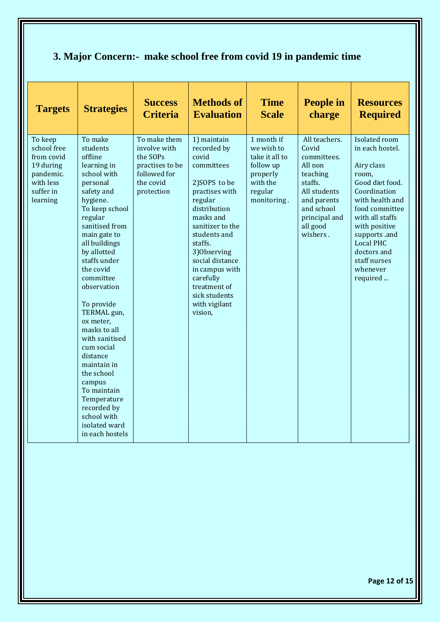#### **3. Major Concern:- make school free from covid 19 in pandemic time**

| <b>Targets</b>                                                                                       | <b>Strategies</b>                                                                                                                                                                                                                                                                                                                                                                                                                                                                                       | <b>Success</b><br><b>Criteria</b>                                                                      | <b>Methods of</b><br><b>Evaluation</b>                                                                                                                                                                                                                                                                     | <b>Time</b><br><b>Scale</b>                                                                               | <b>People in</b><br>charge                                                                                                                                    | <b>Resources</b><br><b>Required</b>                                                                                                                                                                                                                             |
|------------------------------------------------------------------------------------------------------|---------------------------------------------------------------------------------------------------------------------------------------------------------------------------------------------------------------------------------------------------------------------------------------------------------------------------------------------------------------------------------------------------------------------------------------------------------------------------------------------------------|--------------------------------------------------------------------------------------------------------|------------------------------------------------------------------------------------------------------------------------------------------------------------------------------------------------------------------------------------------------------------------------------------------------------------|-----------------------------------------------------------------------------------------------------------|---------------------------------------------------------------------------------------------------------------------------------------------------------------|-----------------------------------------------------------------------------------------------------------------------------------------------------------------------------------------------------------------------------------------------------------------|
| To keep<br>school free<br>from covid<br>19 during<br>pandemic.<br>with less<br>suffer in<br>learning | To make<br>students<br>offline<br>learning in<br>school with<br>personal<br>safety and<br>hygiene.<br>To keep school<br>regular<br>sanitised from<br>main gate to<br>all buildings<br>by allotted<br>staffs under<br>the covid<br>committee<br>observation<br>To provide<br>TERMAL gun,<br>ox meter,<br>masks to all<br>with sanitised<br>cum social<br>distance<br>maintain in<br>the school<br>campus<br>To maintain<br>Temperature<br>recorded by<br>school with<br>isolated ward<br>in each hostels | To make them<br>involve with<br>the SOPs<br>practises to be<br>followed for<br>the covid<br>protection | 1) maintain<br>recorded by<br>covid<br>committees<br>2) SOPS to be<br>practises with<br>regular<br>distribution<br>masks and<br>sanitizer to the<br>students and<br>staffs.<br>3) Observing<br>social distance<br>in campus with<br>carefully<br>treatment of<br>sick students<br>with vigilant<br>vision, | 1 month if<br>we wish to<br>take it all to<br>follow up<br>properly<br>with the<br>regular<br>monitoring. | All teachers.<br>Covid<br>committees.<br>All non<br>teaching<br>staffs.<br>All students<br>and parents<br>and school<br>principal and<br>all good<br>wishers. | Isolated room<br>in each hostel.<br>Airy class<br>room,<br>Good diet food.<br>Coordination<br>with health and<br>food committee<br>with all staffs<br>with positive<br>supports .and<br><b>Local PHC</b><br>doctors and<br>staff nurses<br>whenever<br>required |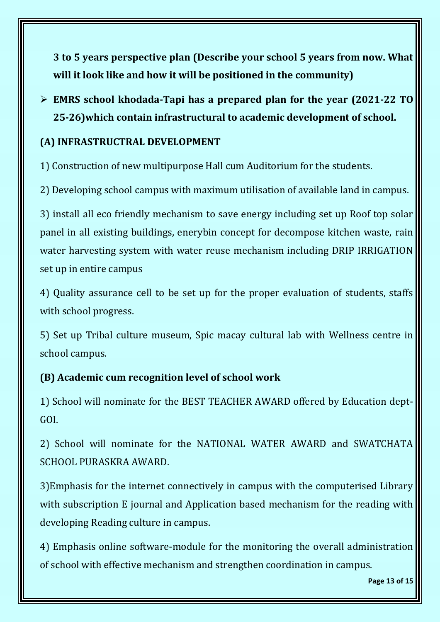**3 to 5 years perspective plan (Describe your school 5 years from now. What will it look like and how it will be positioned in the community)**

#### ➢ **EMRS school khodada-Tapi has a prepared plan for the year (2021-22 TO 25-26)which contain infrastructural to academic development of school.**

#### **(A) INFRASTRUCTRAL DEVELOPMENT**

1) Construction of new multipurpose Hall cum Auditorium for the students.

2) Developing school campus with maximum utilisation of available land in campus.

3) install all eco friendly mechanism to save energy including set up Roof top solar panel in all existing buildings, enerybin concept for decompose kitchen waste, rain water harvesting system with water reuse mechanism including DRIP IRRIGATION set up in entire campus

4) Quality assurance cell to be set up for the proper evaluation of students, staffs with school progress.

5) Set up Tribal culture museum, Spic macay cultural lab with Wellness centre in school campus.

#### **(B) Academic cum recognition level of school work**

1) School will nominate for the BEST TEACHER AWARD offered by Education dept-GOI.

2) School will nominate for the NATIONAL WATER AWARD and SWATCHATA SCHOOL PURASKRA AWARD.

3)Emphasis for the internet connectively in campus with the computerised Library with subscription E journal and Application based mechanism for the reading with developing Reading culture in campus.

4) Emphasis online software-module for the monitoring the overall administration of school with effective mechanism and strengthen coordination in campus.

**Page 13 of 15**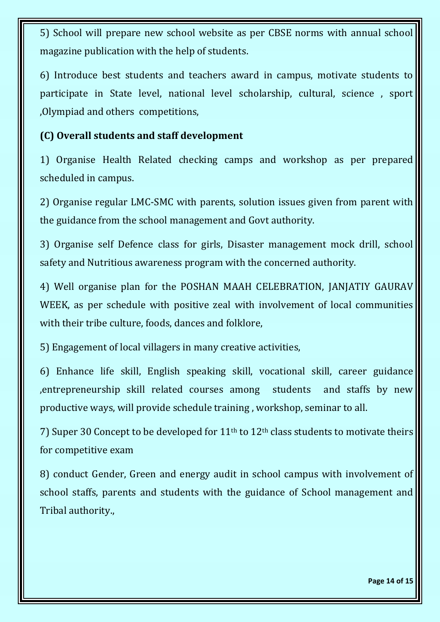5) School will prepare new school website as per CBSE norms with annual school magazine publication with the help of students.

6) Introduce best students and teachers award in campus, motivate students to participate in State level, national level scholarship, cultural, science , sport ,Olympiad and others competitions,

#### **(C) Overall students and staff development**

1) Organise Health Related checking camps and workshop as per prepared scheduled in campus.

2) Organise regular LMC-SMC with parents, solution issues given from parent with the guidance from the school management and Govt authority.

3) Organise self Defence class for girls, Disaster management mock drill, school safety and Nutritious awareness program with the concerned authority.

4) Well organise plan for the POSHAN MAAH CELEBRATION, JANJATIY GAURAV WEEK, as per schedule with positive zeal with involvement of local communities with their tribe culture, foods, dances and folklore,

5) Engagement of local villagers in many creative activities,

6) Enhance life skill, English speaking skill, vocational skill, career guidance ,entrepreneurship skill related courses among students and staffs by new productive ways, will provide schedule training , workshop, seminar to all.

7) Super 30 Concept to be developed for  $11<sup>th</sup>$  to  $12<sup>th</sup>$  class students to motivate theirs for competitive exam

8) conduct Gender, Green and energy audit in school campus with involvement of school staffs, parents and students with the guidance of School management and Tribal authority.,

**Page 14 of 15**